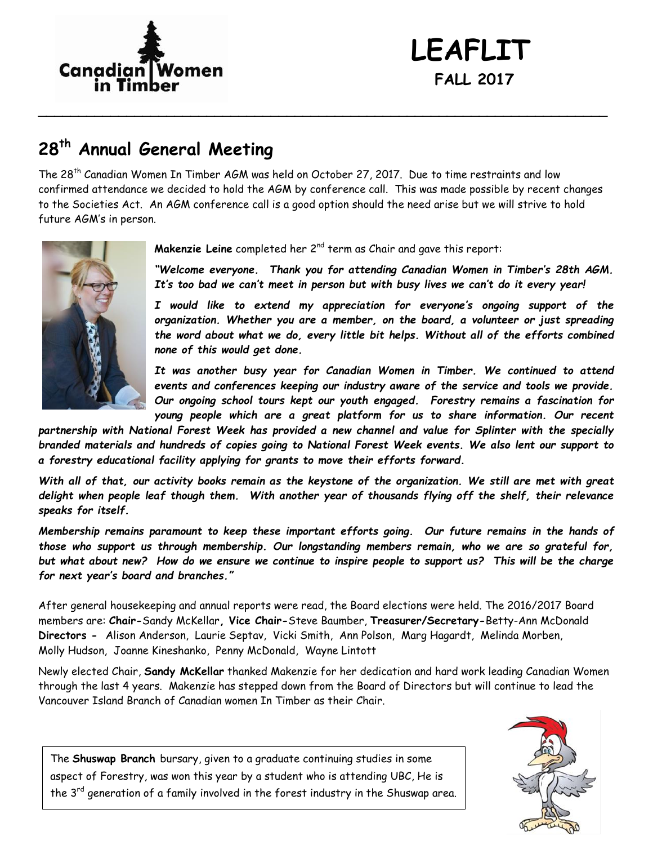

# **LEAFLIT FALL 2017**

### **28th Annual General Meeting**

The 28th Canadian Women In Timber AGM was held on October 27, 2017. Due to time restraints and low confirmed attendance we decided to hold the AGM by conference call. This was made possible by recent changes to the Societies Act. An AGM conference call is a good option should the need arise but we will strive to hold future AGM's in person.

**\_\_\_\_\_\_\_\_\_\_\_\_\_\_\_\_\_\_\_\_\_\_\_\_\_\_\_\_\_\_\_\_\_\_\_\_\_\_\_\_\_\_\_\_\_\_\_\_\_\_\_\_\_\_\_\_\_\_\_\_\_\_\_\_\_\_\_\_\_\_\_**



**Makenzie Leine** completed her 2nd term as Chair and gave this report:

*"Welcome everyone. Thank you for attending Canadian Women in Timber's 28th AGM. It's too bad we can't meet in person but with busy lives we can't do it every year!*

*I would like to extend my appreciation for everyone's ongoing support of the organization. Whether you are a member, on the board, a volunteer or just spreading the word about what we do, every little bit helps. Without all of the efforts combined none of this would get done.*

*It was another busy year for Canadian Women in Timber. We continued to attend events and conferences keeping our industry aware of the service and tools we provide. Our ongoing school tours kept our youth engaged. Forestry remains a fascination for young people which are a great platform for us to share information. Our recent* 

*partnership with National Forest Week has provided a new channel and value for Splinter with the specially branded materials and hundreds of copies going to National Forest Week events. We also lent our support to a forestry educational facility applying for grants to move their efforts forward.* 

*With all of that, our activity books remain as the keystone of the organization. We still are met with great delight when people leaf though them. With another year of thousands flying off the shelf, their relevance speaks for itself.*

*Membership remains paramount to keep these important efforts going. Our future remains in the hands of those who support us through membership. Our longstanding members remain, who we are so grateful for, but what about new? How do we ensure we continue to inspire people to support us? This will be the charge for next year's board and branches."*

After general housekeeping and annual reports were read, the Board elections were held. The 2016/2017 Board members are: **Chair-**Sandy McKellar**, Vice Chair-**Steve Baumber, **Treasurer/Secretary-**Betty-Ann McDonald **Directors -** Alison Anderson, Laurie Septav, Vicki Smith, Ann Polson, Marg Hagardt, Melinda Morben, Molly Hudson, Joanne Kineshanko, Penny McDonald, Wayne Lintott

Newly elected Chair, **Sandy McKellar** thanked Makenzie for her dedication and hard work leading Canadian Women through the last 4 years. Makenzie has stepped down from the Board of Directors but will continue to lead the Vancouver Island Branch of Canadian women In Timber as their Chair.

The **Shuswap Branch** bursary, given to a graduate continuing studies in some aspect of Forestry, was won this year by a student who is attending UBC, He is the  $3^{rd}$  generation of a family involved in the forest industry in the Shuswap area.

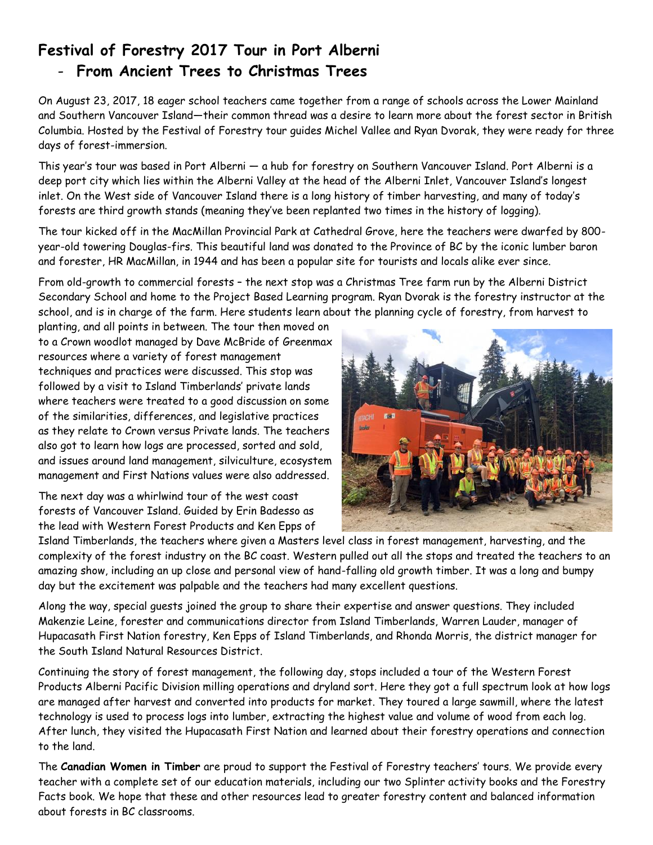## **Festival of Forestry 2017 Tour in Port Alberni**

#### - **From Ancient Trees to Christmas Trees**

On August 23, 2017, 18 eager school teachers came together from a range of schools across the Lower Mainland and Southern Vancouver Island—their common thread was a desire to learn more about the forest sector in British Columbia. Hosted by the Festival of Forestry tour guides Michel Vallee and Ryan Dvorak, they were ready for three days of forest-immersion.

This year's tour was based in Port Alberni — a hub for forestry on Southern Vancouver Island. Port Alberni is a deep port city which lies within the Alberni Valley at the head of the Alberni Inlet, Vancouver Island's longest inlet. On the West side of Vancouver Island there is a long history of timber harvesting, and many of today's forests are third growth stands (meaning they've been replanted two times in the history of logging).

The tour kicked off in the MacMillan Provincial Park at Cathedral Grove, here the teachers were dwarfed by 800 year-old towering Douglas-firs. This beautiful land was donated to the Province of BC by the iconic lumber baron and forester, HR MacMillan, in 1944 and has been a popular site for tourists and locals alike ever since.

From old-growth to commercial forests – the next stop was a Christmas Tree farm run by the Alberni District Secondary School and home to the Project Based Learning program. Ryan Dvorak is the forestry instructor at the school, and is in charge of the farm. Here students learn about the planning cycle of forestry, from harvest to

planting, and all points in between. The tour then moved on to a Crown woodlot managed by Dave McBride of Greenmax resources where a variety of forest management techniques and practices were discussed. This stop was followed by a visit to Island Timberlands' private lands where teachers were treated to a good discussion on some of the similarities, differences, and legislative practices as they relate to Crown versus Private lands. The teachers also got to learn how logs are processed, sorted and sold, and issues around land management, silviculture, ecosystem management and First Nations values were also addressed.

The next day was a whirlwind tour of the west coast forests of Vancouver Island. Guided by Erin Badesso as the lead with Western Forest Products and Ken Epps of



Island Timberlands, the teachers where given a Masters level class in forest management, harvesting, and the complexity of the forest industry on the BC coast. Western pulled out all the stops and treated the teachers to an amazing show, including an up close and personal view of hand-falling old growth timber. It was a long and bumpy day but the excitement was palpable and the teachers had many excellent questions.

Along the way, special guests joined the group to share their expertise and answer questions. They included Makenzie Leine, forester and communications director from Island Timberlands, Warren Lauder, manager of Hupacasath First Nation forestry, Ken Epps of Island Timberlands, and Rhonda Morris, the district manager for the South Island Natural Resources District.

Continuing the story of forest management, the following day, stops included a tour of the Western Forest Products Alberni Pacific Division milling operations and dryland sort. Here they got a full spectrum look at how logs are managed after harvest and converted into products for market. They toured a large sawmill, where the latest technology is used to process logs into lumber, extracting the highest value and volume of wood from each log. After lunch, they visited the Hupacasath First Nation and learned about their forestry operations and connection to the land.

The **Canadian Women in Timber** are proud to support the Festival of Forestry teachers' tours. We provide every teacher with a complete set of our education materials, including our two Splinter activity books and the Forestry Facts book. We hope that these and other resources lead to greater forestry content and balanced information about forests in BC classrooms.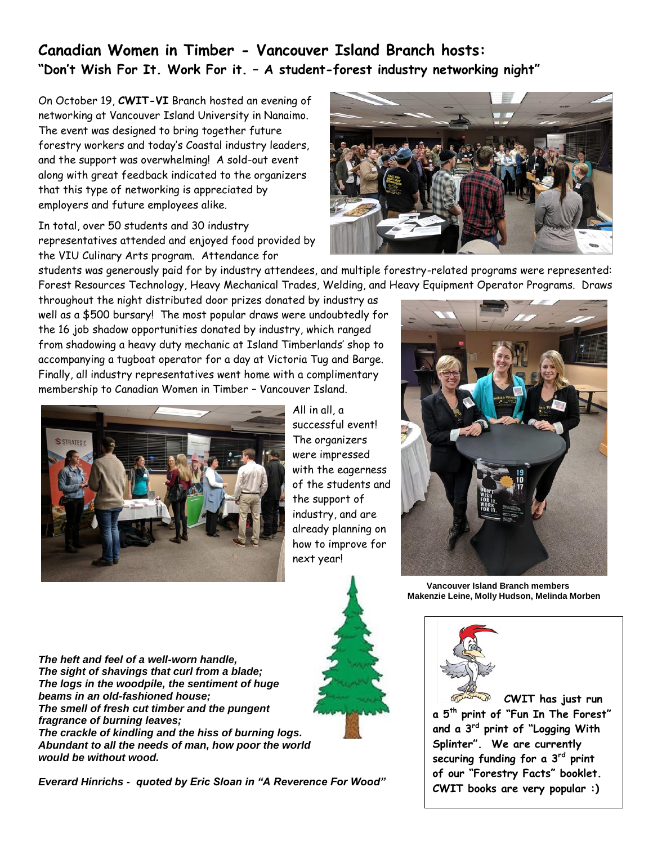#### **Canadian Women in Timber - Vancouver Island Branch hosts: "Don't Wish For It. Work For it. – A student-forest industry networking night"**

On October 19, **CWIT-VI** Branch hosted an evening of networking at Vancouver Island University in Nanaimo. The event was designed to bring together future forestry workers and today's Coastal industry leaders, and the support was overwhelming! A sold-out event along with great feedback indicated to the organizers that this type of networking is appreciated by employers and future employees alike.

In total, over 50 students and 30 industry representatives attended and enjoyed food provided by the VIU Culinary Arts program. Attendance for

students was generously paid for by industry attendees, and multiple forestry-related programs were represented: Forest Resources Technology, Heavy Mechanical Trades, Welding, and Heavy Equipment Operator Programs. Draws

throughout the night distributed door prizes donated by industry as well as a \$500 bursary! The most popular draws were undoubtedly for the 16 job shadow opportunities donated by industry, which ranged from shadowing a heavy duty mechanic at Island Timberlands' shop to accompanying a tugboat operator for a day at Victoria Tug and Barge. Finally, all industry representatives went home with a complimentary membership to Canadian Women in Timber – Vancouver Island.





 **Vancouver Island Branch members Makenzie Leine, Molly Hudson, Melinda Morben**



**CWIT has just run a 5th print of "Fun In The Forest" and a 3rd print of "Logging With Splinter". We are currently securing funding for a 3rd print of our "Forestry Facts" booklet. CWIT books are very popular :)** 

*The heft and feel of a well-worn handle, The sight of shavings that curl from a blade; The logs in the woodpile, the sentiment of huge beams in an old-fashioned house; The smell of fresh cut timber and the pungent fragrance of burning leaves; The crackle of kindling and the hiss of burning logs. Abundant to all the needs of man, how poor the world would be without wood.*

*Everard Hinrichs - quoted by Eric Sloan in "A Reverence For Wood"*



All in all, a successful event! The organizers were impressed with the eagerness of the students and the support of industry, and are already planning on how to improve for next year!